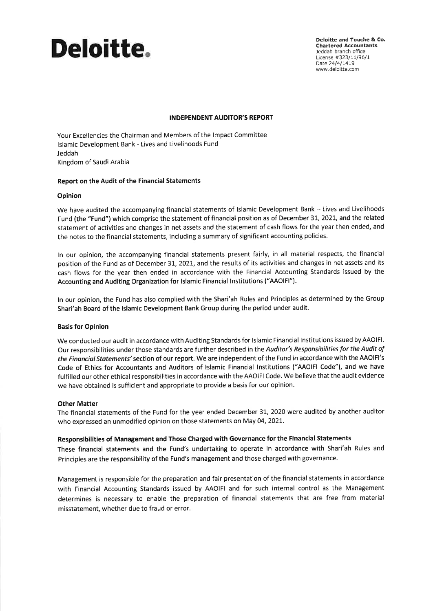# Deloitte.

Deloitte and Touche & Co. **Chartered Accountants** Jeddah branch office License #323/11/96/1 Date 24/4/1419 www.deloitte.com

#### **INDEPENDENT AUDITOR'S REPORT**

Your Excellencies the Chairman and Members of the Impact Committee Islamic Development Bank - Lives and Livelihoods Fund leddah Kingdom of Saudi Arabia

#### Report on the Audit of the Financial Statements

#### Opinion

We have audited the accompanying financial statements of Islamic Development Bank - Lives and Livelihoods Fund (the "Fund") which comprise the statement of financial position as of December 31, 2021, and the related statement of activities and changes in net assets and the statement of cash flows for the year then ended, and the notes to the financial statements, including a summary of significant accounting policies.

In our opinion, the accompanying financial statements present fairly, in all material respects, the financial position of the Fund as of December 31, 2021, and the results of its activities and changes in net assets and its cash flows for the year then ended in accordance with the Financial Accounting Standards issued by the Accounting and Auditing Organization for Islamic Financial Institutions ("AAOIFI").

In our opinion, the Fund has also complied with the Shari'ah Rules and Principles as determined by the Group Shari'ah Board of the Islamic Development Bank Group during the period under audit.

#### **Basis for Opinion**

We conducted our audit in accordance with Auditing Standards for Islamic Financial Institutions issued by AAOIFI. Our responsibilities under those standards are further described in the Auditor's Responsibilities for the Audit of the Financial Statements' section of our report. We are independent of the Fund in accordance with the AAOIFI's Code of Ethics for Accountants and Auditors of Islamic Financial Institutions ("AAOIFI Code"), and we have fulfilled our other ethical responsibilities in accordance with the AAOIFI Code. We believe that the audit evidence we have obtained is sufficient and appropriate to provide a basis for our opinion.

#### **Other Matter**

The financial statements of the Fund for the year ended December 31, 2020 were audited by another auditor who expressed an unmodified opinion on those statements on May 04, 2021.

# Responsibilities of Management and Those Charged with Governance for the Financial Statements

These financial statements and the Fund's undertaking to operate in accordance with Shari'ah Rules and Principles are the responsibility of the Fund's management and those charged with governance.

Management is responsible for the preparation and fair presentation of the financial statements in accordance with Financial Accounting Standards issued by AAOIFI and for such internal control as the Management determines is necessary to enable the preparation of financial statements that are free from material misstatement, whether due to fraud or error.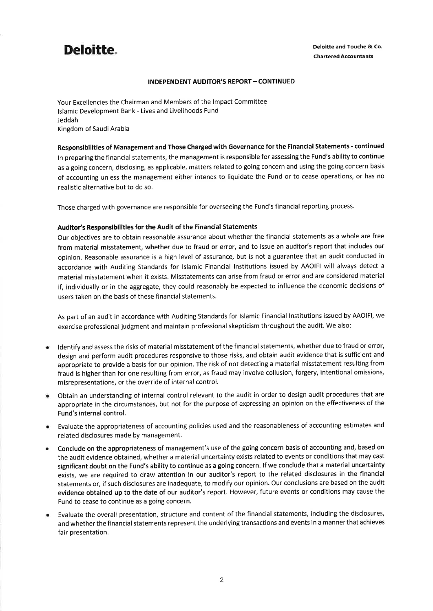# Deloitte.

#### **INDEPENDENT AUDITOR'S REPORT - CONTINUED**

Your Excellencies the Chairman and Members of the Impact Committee Islamic Development Bank - Lives and Livelihoods Fund Jeddah Kingdom of Saudi Arabia

#### Responsibilities of Management and Those Charged with Governance for the Financial Statements - continued

In preparing the financial statements, the management is responsible for assessing the Fund's ability to continue as a going concern, disclosing, as applicable, matters related to going concern and using the going concern basis of accounting unless the management either intends to liquidate the Fund or to cease operations, or has no realistic alternative but to do so.

Those charged with governance are responsible for overseeing the Fund's financial reporting process.

#### Auditor's Responsibilities for the Audit of the Financial Statements

Our objectives are to obtain reasonable assurance about whether the financial statements as a whole are free from material misstatement, whether due to fraud or error, and to issue an auditor's report that includes our opinion. Reasonable assurance is a high level of assurance, but is not a guarantee that an audit conducted in accordance with Auditing Standards for Islamic Financial Institutions issued by AAOIFI will always detect a material misstatement when it exists. Misstatements can arise from fraud or error and are considered material if, individually or in the aggregate, they could reasonably be expected to influence the economic decisions of users taken on the basis of these financial statements.

As part of an audit in accordance with Auditing Standards for Islamic Financial Institutions issued by AAOIFI, we exercise professional judgment and maintain professional skepticism throughout the audit. We also:

- Identify and assess the risks of material misstatement of the financial statements, whether due to fraud or error, design and perform audit procedures responsive to those risks, and obtain audit evidence that is sufficient and appropriate to provide a basis for our opinion. The risk of not detecting a material misstatement resulting from fraud is higher than for one resulting from error, as fraud may involve collusion, forgery, intentional omissions, misrepresentations, or the override of internal control.
- Obtain an understanding of internal control relevant to the audit in order to design audit procedures that are appropriate in the circumstances, but not for the purpose of expressing an opinion on the effectiveness of the Fund's internal control.
- Evaluate the appropriateness of accounting policies used and the reasonableness of accounting estimates and related disclosures made by management.
- Conclude on the appropriateness of management's use of the going concern basis of accounting and, based on the audit evidence obtained, whether a material uncertainty exists related to events or conditions that may cast significant doubt on the Fund's ability to continue as a going concern. If we conclude that a material uncertainty exists, we are required to draw attention in our auditor's report to the related disclosures in the financial statements or, if such disclosures are inadequate, to modify our opinion. Our conclusions are based on the audit evidence obtained up to the date of our auditor's report. However, future events or conditions may cause the Fund to cease to continue as a going concern.
- Evaluate the overall presentation, structure and content of the financial statements, including the disclosures, and whether the financial statements represent the underlying transactions and events in a manner that achieves fair presentation.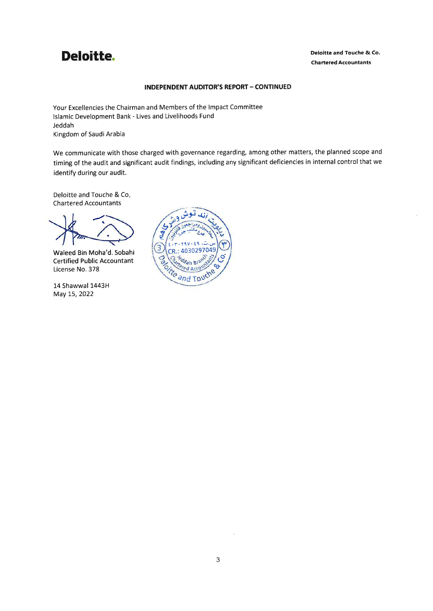

Deloitte and Touche & Co. **Chartered Accountants** 

#### **INDEPENDENT AUDITOR'S REPORT - CONTINUED**

Your Excellencies the Chairman and Members of the Impact Committee Islamic Development Bank - Lives and Livelihoods Fund Jeddah Kingdom of Saudi Arabia

We communicate with those charged with governance regarding, among other matters, the planned scope and timing of the audit and significant audit findings, including any significant deficiencies in internal control that we identify during our audit.

Deloitte and Touche & Co. **Chartered Accountants** 

Waleed Bin Moha'd. Sobahi **Certified Public Accountant** License No. 378

14 Shawwal 1443H May 15, 2022

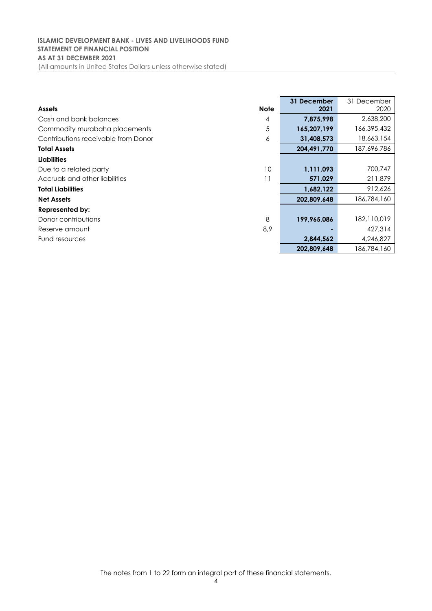|                                     |             | 31 December | 31 December |
|-------------------------------------|-------------|-------------|-------------|
| <b>Assets</b>                       | <b>Note</b> | 2021        | 2020        |
| Cash and bank balances              | 4           | 7,875,998   | 2,638,200   |
| Commodity murabaha placements       | 5           | 165,207,199 | 166,395,432 |
| Contributions receivable from Donor | 6           | 31,408,573  | 18,663,154  |
| <b>Total Assets</b>                 |             | 204,491,770 | 187,696,786 |
| <b>Liabilities</b>                  |             |             |             |
| Due to a related party              | 10          | 1,111,093   | 700,747     |
| Accruals and other liabilities      | 11          | 571,029     | 211,879     |
| <b>Total Liabilities</b>            |             | 1,682,122   | 912,626     |
| <b>Net Assets</b>                   |             | 202.809.648 | 186,784,160 |
| <b>Represented by:</b>              |             |             |             |
| Donor contributions                 | 8           | 199,965,086 | 182,110,019 |
| Reserve amount                      | 8,9         |             | 427,314     |
| Fund resources                      |             | 2,844,562   | 4,246,827   |
|                                     |             | 202.809.648 | 186,784,160 |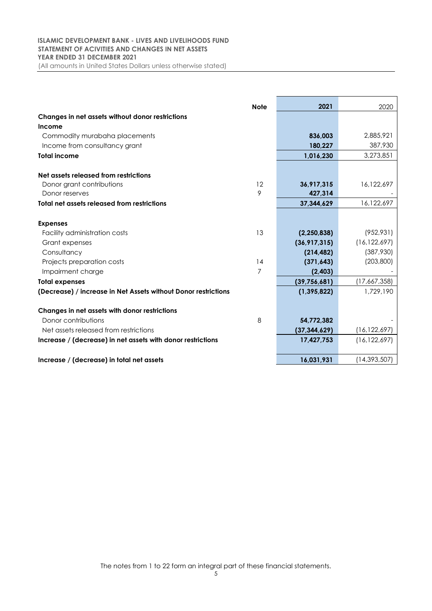### **ISLAMIC DEVELOPMENT BANK - LIVES AND LIVELIHOODS FUND STATEMENT OF ACIVITIES AND CHANGES IN NET ASSETS YEAR ENDED 31 DECEMBER 2021**

(All amounts in United States Dollars unless otherwise stated)

|                                                                | <b>Note</b> | 2021           | 2020           |
|----------------------------------------------------------------|-------------|----------------|----------------|
| Changes in net assets without donor restrictions               |             |                |                |
| Income                                                         |             |                |                |
| Commodity murabaha placements                                  |             | 836,003        | 2,885,921      |
| Income from consultancy grant                                  |             | 180,227        | 387,930        |
| <b>Total income</b>                                            |             | 1,016,230      | 3,273,851      |
| Net assets released from restrictions                          |             |                |                |
| Donor grant contributions                                      | 12          | 36,917,315     | 16,122,697     |
| Donor reserves                                                 | 9           | 427,314        |                |
| Total net assets released from restrictions                    |             | 37.344.629     | 16,122,697     |
|                                                                |             |                |                |
| <b>Expenses</b>                                                |             |                |                |
| Facility administration costs                                  | 13          | (2, 250, 838)  | (952, 931)     |
| Grant expenses                                                 |             | (36, 917, 315) | (16, 122, 697) |
| Consultancy                                                    |             | (214, 482)     | (387,930)      |
| Projects preparation costs                                     | 14          | (371, 643)     | (203,800)      |
| Impairment charge                                              | 7           | (2, 403)       |                |
| <b>Total expenses</b>                                          |             | (39, 756, 681) | (17,667,358)   |
| (Decrease) / increase in Net Assets without Donor restrictions |             | (1, 395, 822)  | 1,729,190      |
| Changes in net assets with donor restrictions                  |             |                |                |
| Donor contributions                                            | 8           | 54,772,382     |                |
| Net assets released from restrictions                          |             | (37, 344, 629) | (16, 122, 697) |
| Increase / (decrease) in net assets with donor restrictions    |             | 17,427,753     | (16, 122, 697) |
|                                                                |             |                |                |
| Increase / (decrease) in total net assets                      |             | 16,031,931     | (14, 393, 507) |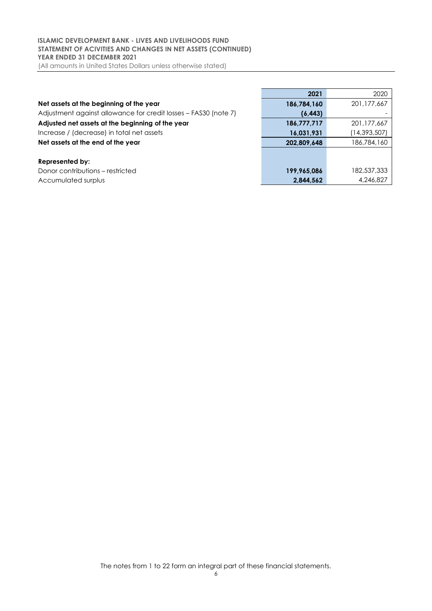## **ISLAMIC DEVELOPMENT BANK - LIVES AND LIVELIHOODS FUND STATEMENT OF ACIVITIES AND CHANGES IN NET ASSETS (CONTINUED) YEAR ENDED 31 DECEMBER 2021**

(All amounts in United States Dollars unless otherwise stated)

|                                                                 | 2021        | 2020         |
|-----------------------------------------------------------------|-------------|--------------|
| Net assets at the beginning of the year                         | 186,784,160 | 201,177,667  |
| Adjustment against allowance for credit losses – FAS30 (note 7) | (6, 443)    |              |
| Adjusted net assets at the beginning of the year                | 186,777,717 | 201,177,667  |
| Increase / (decrease) in total net assets                       | 16,031,931  | (14,393,507) |
| Net assets at the end of the year                               | 202,809,648 | 186,784,160  |
|                                                                 |             |              |
| <b>Represented by:</b>                                          |             |              |
| Donor contributions – restricted                                | 199,965,086 | 182,537,333  |
| Accumulated surplus                                             | 2.844.562   | 4,246,827    |

The notes from 1 to 22 form an integral part of these financial statements.